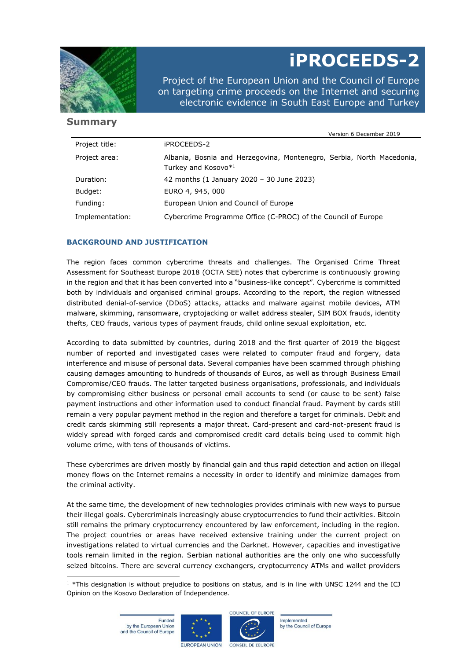

# **iPROCEEDS-2**

Project of the European Union and the Council of Europe on targeting crime proceeds on the Internet and securing electronic evidence in South East Europe and Turkey

## **Summary**

|  | Version 6 December 2019 |  |
|--|-------------------------|--|
|  |                         |  |

| Project title:  | iPROCEEDS-2                                                                                              |
|-----------------|----------------------------------------------------------------------------------------------------------|
| Project area:   | Albania, Bosnia and Herzegovina, Montenegro, Serbia, North Macedonia,<br>Turkey and Kosovo* <sup>1</sup> |
| Duration:       | 42 months (1 January 2020 - 30 June 2023)                                                                |
| Budget:         | EURO 4, 945, 000                                                                                         |
| Funding:        | European Union and Council of Europe                                                                     |
| Implementation: | Cybercrime Programme Office (C-PROC) of the Council of Europe                                            |

### **BACKGROUND AND JUSTIFICATION**

The region faces common cybercrime threats and challenges. The Organised Crime Threat Assessment for Southeast Europe 2018 (OCTA SEE) notes that cybercrime is continuously growing in the region and that it has been converted into a "business-like concept". Cybercrime is committed both by individuals and organised criminal groups. According to the report, the region witnessed distributed denial-of-service (DDoS) attacks, attacks and malware against mobile devices, ATM malware, skimming, ransomware, cryptojacking or wallet address stealer, SIM BOX frauds, identity thefts, CEO frauds, various types of payment frauds, child online sexual exploitation, etc.

According to data submitted by countries, during 2018 and the first quarter of 2019 the biggest number of reported and investigated cases were related to computer fraud and forgery, data interference and misuse of personal data. Several companies have been scammed through phishing causing damages amounting to hundreds of thousands of Euros, as well as through Business Email Compromise/CEO frauds. The latter targeted business organisations, professionals, and individuals by compromising either business or personal email accounts to send (or cause to be sent) false payment instructions and other information used to conduct financial fraud. Payment by cards still remain a very popular payment method in the region and therefore a target for criminals. Debit and credit cards skimming still represents a major threat. Card-present and card-not-present fraud is widely spread with forged cards and compromised credit card details being used to commit high volume crime, with tens of thousands of victims.

These cybercrimes are driven mostly by financial gain and thus rapid detection and action on illegal money flows on the Internet remains a necessity in order to identify and minimize damages from the criminal activity.

At the same time, the development of new technologies provides criminals with new ways to pursue their illegal goals. Cybercriminals increasingly abuse cryptocurrencies to fund their activities. Bitcoin still remains the primary cryptocurrency encountered by law enforcement, including in the region. The project countries or areas have received extensive training under the current project on investigations related to virtual currencies and the Darknet. However, capacities and investigative tools remain limited in the region. Serbian national authorities are the only one who successfully seized bitcoins. There are several currency exchangers, cryptocurrency ATMs and wallet providers





Implemented by the Council of Europe

<sup>&</sup>lt;sup>1</sup> \*This designation is without prejudice to positions on status, and is in line with UNSC 1244 and the ICJ Opinion on the Kosovo Declaration of Independence.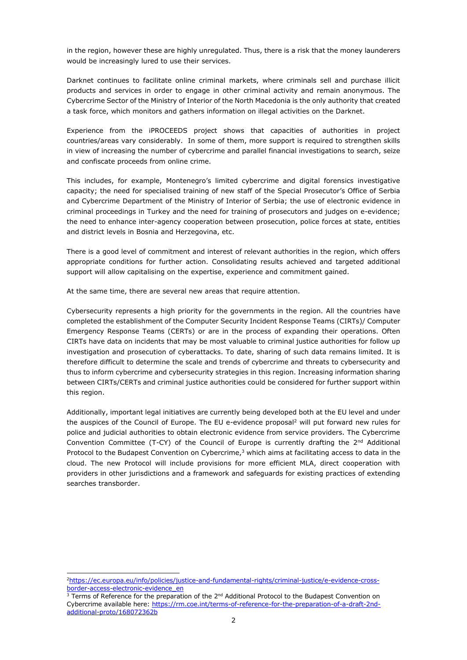in the region, however these are highly unregulated. Thus, there is a risk that the money launderers would be increasingly lured to use their services.

Darknet continues to facilitate online criminal markets, where criminals sell and purchase illicit products and services in order to engage in other criminal activity and remain anonymous. The Cybercrime Sector of the Ministry of Interior of the North Macedonia is the only authority that created a task force, which monitors and gathers information on illegal activities on the Darknet.

Experience from the iPROCEEDS project shows that capacities of authorities in project countries/areas vary considerably. In some of them, more support is required to strengthen skills in view of increasing the number of cybercrime and parallel financial investigations to search, seize and confiscate proceeds from online crime.

This includes, for example, Montenegro's limited cybercrime and digital forensics investigative capacity; the need for specialised training of new staff of the Special Prosecutor's Office of Serbia and Cybercrime Department of the Ministry of Interior of Serbia; the use of electronic evidence in criminal proceedings in Turkey and the need for training of prosecutors and judges on e-evidence; the need to enhance inter-agency cooperation between prosecution, police forces at state, entities and district levels in Bosnia and Herzegovina, etc.

There is a good level of commitment and interest of relevant authorities in the region, which offers appropriate conditions for further action. Consolidating results achieved and targeted additional support will allow capitalising on the expertise, experience and commitment gained.

At the same time, there are several new areas that require attention.

Cybersecurity represents a high priority for the governments in the region. All the countries have completed the establishment of the Computer Security Incident Response Teams (CIRTs)/ Computer Emergency Response Teams (CERTs) or are in the process of expanding their operations. Often CIRTs have data on incidents that may be most valuable to criminal justice authorities for follow up investigation and prosecution of cyberattacks. To date, sharing of such data remains limited. It is therefore difficult to determine the scale and trends of cybercrime and threats to cybersecurity and thus to inform cybercrime and cybersecurity strategies in this region. Increasing information sharing between CIRTs/CERTs and criminal justice authorities could be considered for further support within this region.

Additionally, important legal initiatives are currently being developed both at the EU level and under the auspices of the Council of Europe. The EU e-evidence proposal<sup>2</sup> will put forward new rules for police and judicial authorities to obtain electronic evidence from service providers. The Cybercrime Convention Committee (T-CY) of the Council of Europe is currently drafting the  $2^{nd}$  Additional Protocol to the Budapest Convention on Cybercrime, $3$  which aims at facilitating access to data in the cloud. The new Protocol will include provisions for more efficient MLA, direct cooperation with providers in other jurisdictions and a framework and safeguards for existing practices of extending searches transborder.

<sup>2</sup>[https://ec.europa.eu/info/policies/justice-and-fundamental-rights/criminal-justice/e-evidence-cross](https://ec.europa.eu/info/policies/justice-and-fundamental-rights/criminal-justice/e-evidence-cross-border-access-electronic-evidence_en)[border-access-electronic-evidence\\_en](https://ec.europa.eu/info/policies/justice-and-fundamental-rights/criminal-justice/e-evidence-cross-border-access-electronic-evidence_en)

 $3$  Terms of Reference for the preparation of the  $2^{nd}$  Additional Protocol to the Budapest Convention on Cybercrime available here: [https://rm.coe.int/terms-of-reference-for-the-preparation-of-a-draft-2nd](https://rm.coe.int/terms-of-reference-for-the-preparation-of-a-draft-2nd-additional-proto/168072362b)[additional-proto/168072362b](https://rm.coe.int/terms-of-reference-for-the-preparation-of-a-draft-2nd-additional-proto/168072362b)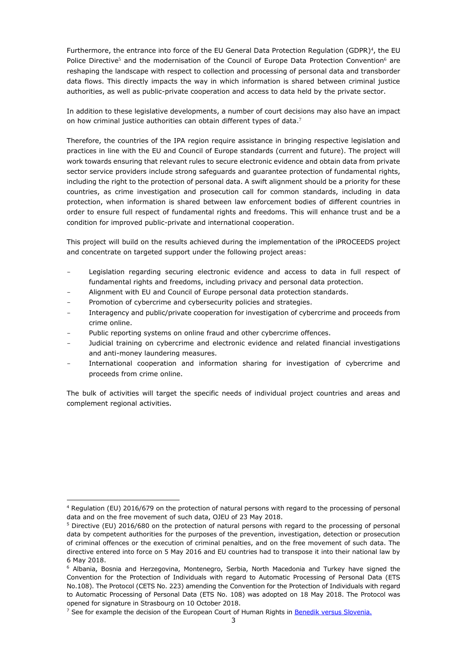Furthermore, the entrance into force of the EU General Data Protection Regulation (GDPR)<sup>4</sup>, the EU Police Directive<sup>5</sup> and the modernisation of the Council of Europe Data Protection Convention<sup>6</sup> are reshaping the landscape with respect to collection and processing of personal data and transborder data flows. This directly impacts the way in which information is shared between criminal justice authorities, as well as public-private cooperation and access to data held by the private sector.

In addition to these legislative developments, a number of court decisions may also have an impact on how criminal justice authorities can obtain different types of data.<sup>7</sup>

Therefore, the countries of the IPA region require assistance in bringing respective legislation and practices in line with the EU and Council of Europe standards (current and future). The project will work towards ensuring that relevant rules to secure electronic evidence and obtain data from private sector service providers include strong safeguards and guarantee protection of fundamental rights, including the right to the protection of personal data. A swift alignment should be a priority for these countries, as crime investigation and prosecution call for common standards, including in data protection, when information is shared between law enforcement bodies of different countries in order to ensure full respect of fundamental rights and freedoms. This will enhance trust and be a condition for improved public-private and international cooperation.

This project will build on the results achieved during the implementation of the iPROCEEDS project and concentrate on targeted support under the following project areas:

- Legislation regarding securing electronic evidence and access to data in full respect of fundamental rights and freedoms, including privacy and personal data protection.
- Alignment with EU and Council of Europe personal data protection standards.
- Promotion of cybercrime and cybersecurity policies and strategies.
- Interagency and public/private cooperation for investigation of cybercrime and proceeds from crime online.
- Public reporting systems on online fraud and other cybercrime offences.
- Judicial training on cybercrime and electronic evidence and related financial investigations and anti-money laundering measures.
- International cooperation and information sharing for investigation of cybercrime and proceeds from crime online.

The bulk of activities will target the specific needs of individual project countries and areas and complement regional activities.

<sup>4</sup> Regulation (EU) 2016/679 on the protection of natural persons with regard to the processing of personal data and on the free movement of such data, OJEU of 23 May 2018.

<sup>5</sup> Directive (EU) 2016/680 on the protection of natural persons with regard to the processing of personal data by competent authorities for the purposes of the prevention, investigation, detection or prosecution of criminal offences or the execution of criminal penalties, and on the free movement of such data. The directive entered into force on 5 May 2016 and EU countries had to transpose it into their national law by 6 May 2018.

<sup>6</sup> Albania, Bosnia and Herzegovina, Montenegro, Serbia, North Macedonia and Turkey have signed the Convention for the Protection of Individuals with regard to Automatic Processing of Personal Data (ETS No.108). The Protocol (CETS No. 223) amending the Convention for the Protection of Individuals with regard to Automatic Processing of Personal Data (ETS No. 108) was adopted on 18 May 2018. The Protocol was opened for signature in Strasbourg on 10 October 2018.

 $7$  See for example the decision of the European Court of Human Rights in [Benedik versus Slovenia.](http://hudoc.echr.coe.int/eng?i=001-182455)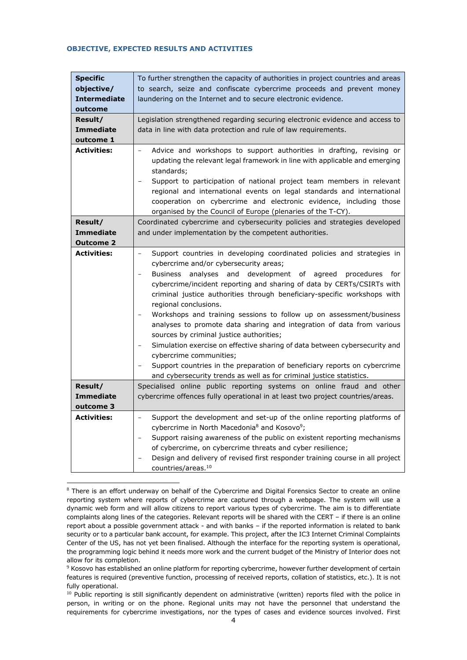#### **OBJECTIVE, EXPECTED RESULTS AND ACTIVITIES**

| <b>Specific</b><br>objective/<br><b>Intermediate</b><br>outcome<br>Result/<br><b>Immediate</b><br>outcome 1 | To further strengthen the capacity of authorities in project countries and areas<br>to search, seize and confiscate cybercrime proceeds and prevent money<br>laundering on the Internet and to secure electronic evidence.<br>Legislation strengthened regarding securing electronic evidence and access to<br>data in line with data protection and rule of law requirements.                                                                                                                                                                                                                                                                                                                                                                                                                                                                                                                        |
|-------------------------------------------------------------------------------------------------------------|-------------------------------------------------------------------------------------------------------------------------------------------------------------------------------------------------------------------------------------------------------------------------------------------------------------------------------------------------------------------------------------------------------------------------------------------------------------------------------------------------------------------------------------------------------------------------------------------------------------------------------------------------------------------------------------------------------------------------------------------------------------------------------------------------------------------------------------------------------------------------------------------------------|
| Activities:                                                                                                 | Advice and workshops to support authorities in drafting, revising or<br>$\overline{\phantom{0}}$<br>updating the relevant legal framework in line with applicable and emerging<br>standards;<br>Support to participation of national project team members in relevant<br>regional and international events on legal standards and international<br>cooperation on cybercrime and electronic evidence, including those<br>organised by the Council of Europe (plenaries of the T-CY).                                                                                                                                                                                                                                                                                                                                                                                                                  |
| Result/<br><b>Immediate</b><br><b>Outcome 2</b>                                                             | Coordinated cybercrime and cybersecurity policies and strategies developed<br>and under implementation by the competent authorities.                                                                                                                                                                                                                                                                                                                                                                                                                                                                                                                                                                                                                                                                                                                                                                  |
| Activities:                                                                                                 | Support countries in developing coordinated policies and strategies in<br>$\overline{a}$<br>cybercrime and/or cybersecurity areas;<br>analyses and development of agreed procedures<br>Business<br>for<br>$\overline{\phantom{0}}$<br>cybercrime/incident reporting and sharing of data by CERTs/CSIRTs with<br>criminal justice authorities through beneficiary-specific workshops with<br>regional conclusions.<br>Workshops and training sessions to follow up on assessment/business<br>$\qquad \qquad -$<br>analyses to promote data sharing and integration of data from various<br>sources by criminal justice authorities;<br>Simulation exercise on effective sharing of data between cybersecurity and<br>cybercrime communities;<br>Support countries in the preparation of beneficiary reports on cybercrime<br>-<br>and cybersecurity trends as well as for criminal justice statistics. |
| Result/<br>Immediate<br>outcome 3                                                                           | Specialised online public reporting systems on online fraud and other<br>cybercrime offences fully operational in at least two project countries/areas.                                                                                                                                                                                                                                                                                                                                                                                                                                                                                                                                                                                                                                                                                                                                               |
| <b>Activities:</b>                                                                                          | Support the development and set-up of the online reporting platforms of<br>$\overline{\phantom{0}}$<br>cybercrime in North Macedonia <sup>8</sup> and Kosovo <sup>9</sup> ;<br>Support raising awareness of the public on existent reporting mechanisms<br>of cybercrime, on cybercrime threats and cyber resilience;<br>Design and delivery of revised first responder training course in all project<br>countries/areas. <sup>10</sup>                                                                                                                                                                                                                                                                                                                                                                                                                                                              |

<sup>&</sup>lt;sup>8</sup> There is an effort underway on behalf of the Cybercrime and Digital Forensics Sector to create an online reporting system where reports of cybercrime are captured through a webpage. The system will use a dynamic web form and will allow citizens to report various types of cybercrime. The aim is to differentiate complaints along lines of the categories. Relevant reports will be shared with the CERT – if there is an online report about a possible government attack - and with banks – if the reported information is related to bank security or to a particular bank account, for example. This project, after the IC3 Internet Criminal Complaints Center of the US, has not yet been finalised. Although the interface for the reporting system is operational, the programming logic behind it needs more work and the current budget of the Ministry of Interior does not allow for its completion.

<sup>&</sup>lt;sup>9</sup> Kosovo has established an online platform for reporting cybercrime, however further development of certain features is required (preventive function, processing of received reports, collation of statistics, etc.). It is not fully operational.

 $10$  Public reporting is still significantly dependent on administrative (written) reports filed with the police in person, in writing or on the phone. Regional units may not have the personnel that understand the requirements for cybercrime investigations, nor the types of cases and evidence sources involved. First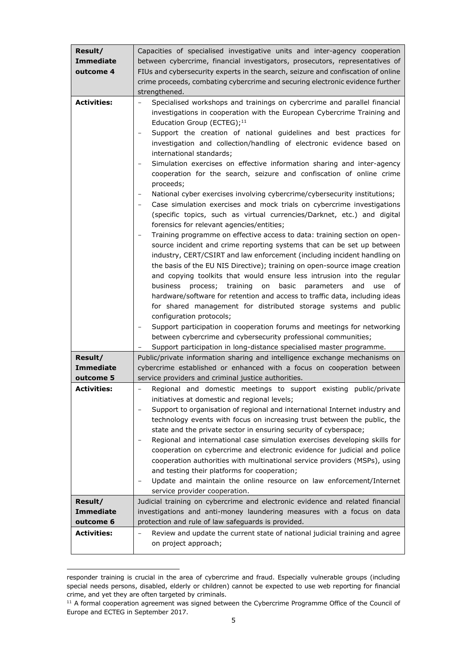| Result/            | Capacities of specialised investigative units and inter-agency cooperation                                                                                                                                                                                                                                                                                                                                                                                                                                                                                                                                                                                                                                                                                                                                                                                                                                                                                                                                                                                                                                                                                                                                                                                                                                                                                                                                                                                                                                                                                                                                                       |  |  |
|--------------------|----------------------------------------------------------------------------------------------------------------------------------------------------------------------------------------------------------------------------------------------------------------------------------------------------------------------------------------------------------------------------------------------------------------------------------------------------------------------------------------------------------------------------------------------------------------------------------------------------------------------------------------------------------------------------------------------------------------------------------------------------------------------------------------------------------------------------------------------------------------------------------------------------------------------------------------------------------------------------------------------------------------------------------------------------------------------------------------------------------------------------------------------------------------------------------------------------------------------------------------------------------------------------------------------------------------------------------------------------------------------------------------------------------------------------------------------------------------------------------------------------------------------------------------------------------------------------------------------------------------------------------|--|--|
| Immediate          | between cybercrime, financial investigators, prosecutors, representatives of                                                                                                                                                                                                                                                                                                                                                                                                                                                                                                                                                                                                                                                                                                                                                                                                                                                                                                                                                                                                                                                                                                                                                                                                                                                                                                                                                                                                                                                                                                                                                     |  |  |
| outcome 4          | FIUs and cybersecurity experts in the search, seizure and confiscation of online                                                                                                                                                                                                                                                                                                                                                                                                                                                                                                                                                                                                                                                                                                                                                                                                                                                                                                                                                                                                                                                                                                                                                                                                                                                                                                                                                                                                                                                                                                                                                 |  |  |
|                    | crime proceeds, combating cybercrime and securing electronic evidence further                                                                                                                                                                                                                                                                                                                                                                                                                                                                                                                                                                                                                                                                                                                                                                                                                                                                                                                                                                                                                                                                                                                                                                                                                                                                                                                                                                                                                                                                                                                                                    |  |  |
|                    | strengthened.                                                                                                                                                                                                                                                                                                                                                                                                                                                                                                                                                                                                                                                                                                                                                                                                                                                                                                                                                                                                                                                                                                                                                                                                                                                                                                                                                                                                                                                                                                                                                                                                                    |  |  |
| <b>Activities:</b> | Specialised workshops and trainings on cybercrime and parallel financial<br>$\qquad \qquad -$<br>investigations in cooperation with the European Cybercrime Training and<br>Education Group (ECTEG); <sup>11</sup><br>Support the creation of national guidelines and best practices for<br>$\qquad \qquad -$<br>investigation and collection/handling of electronic evidence based on<br>international standards;<br>Simulation exercises on effective information sharing and inter-agency<br>cooperation for the search, seizure and confiscation of online crime<br>proceeds;<br>National cyber exercises involving cybercrime/cybersecurity institutions;<br>$\overline{\phantom{a}}$<br>Case simulation exercises and mock trials on cybercrime investigations<br>(specific topics, such as virtual currencies/Darknet, etc.) and digital<br>forensics for relevant agencies/entities;<br>Training programme on effective access to data: training section on open-<br>source incident and crime reporting systems that can be set up between<br>industry, CERT/CSIRT and law enforcement (including incident handling on<br>the basis of the EU NIS Directive); training on open-source image creation<br>and copying toolkits that would ensure less intrusion into the regular<br>business<br>process; training<br>on<br>basic<br>parameters<br>and<br>use of<br>hardware/software for retention and access to traffic data, including ideas<br>for shared management for distributed storage systems and public<br>configuration protocols;<br>Support participation in cooperation forums and meetings for networking |  |  |
|                    | between cybercrime and cybersecurity professional communities;                                                                                                                                                                                                                                                                                                                                                                                                                                                                                                                                                                                                                                                                                                                                                                                                                                                                                                                                                                                                                                                                                                                                                                                                                                                                                                                                                                                                                                                                                                                                                                   |  |  |
|                    | Support participation in long-distance specialised master programme.                                                                                                                                                                                                                                                                                                                                                                                                                                                                                                                                                                                                                                                                                                                                                                                                                                                                                                                                                                                                                                                                                                                                                                                                                                                                                                                                                                                                                                                                                                                                                             |  |  |
| Result/            | Public/private information sharing and intelligence exchange mechanisms on                                                                                                                                                                                                                                                                                                                                                                                                                                                                                                                                                                                                                                                                                                                                                                                                                                                                                                                                                                                                                                                                                                                                                                                                                                                                                                                                                                                                                                                                                                                                                       |  |  |
| <b>Immediate</b>   | cybercrime established or enhanced with a focus on cooperation between                                                                                                                                                                                                                                                                                                                                                                                                                                                                                                                                                                                                                                                                                                                                                                                                                                                                                                                                                                                                                                                                                                                                                                                                                                                                                                                                                                                                                                                                                                                                                           |  |  |
| outcome 5          | service providers and criminal justice authorities.                                                                                                                                                                                                                                                                                                                                                                                                                                                                                                                                                                                                                                                                                                                                                                                                                                                                                                                                                                                                                                                                                                                                                                                                                                                                                                                                                                                                                                                                                                                                                                              |  |  |
| <b>Activities:</b> | Regional and domestic meetings to support existing public/private<br>$\overline{a}$<br>initiatives at domestic and regional levels;<br>Support to organisation of regional and international Internet industry and<br>technology events with focus on increasing trust between the public, the<br>state and the private sector in ensuring security of cyberspace;<br>Regional and international case simulation exercises developing skills for<br>cooperation on cybercrime and electronic evidence for judicial and police<br>cooperation authorities with multinational service providers (MSPs), using<br>and testing their platforms for cooperation;<br>Update and maintain the online resource on law enforcement/Internet<br>$\qquad \qquad -$<br>service provider cooperation.                                                                                                                                                                                                                                                                                                                                                                                                                                                                                                                                                                                                                                                                                                                                                                                                                                         |  |  |
| Result/            | Judicial training on cybercrime and electronic evidence and related financial                                                                                                                                                                                                                                                                                                                                                                                                                                                                                                                                                                                                                                                                                                                                                                                                                                                                                                                                                                                                                                                                                                                                                                                                                                                                                                                                                                                                                                                                                                                                                    |  |  |
| <b>Immediate</b>   | investigations and anti-money laundering measures with a focus on data                                                                                                                                                                                                                                                                                                                                                                                                                                                                                                                                                                                                                                                                                                                                                                                                                                                                                                                                                                                                                                                                                                                                                                                                                                                                                                                                                                                                                                                                                                                                                           |  |  |
| outcome 6          | protection and rule of law safeguards is provided.                                                                                                                                                                                                                                                                                                                                                                                                                                                                                                                                                                                                                                                                                                                                                                                                                                                                                                                                                                                                                                                                                                                                                                                                                                                                                                                                                                                                                                                                                                                                                                               |  |  |
| <b>Activities:</b> | Review and update the current state of national judicial training and agree<br>$\overline{\phantom{0}}$<br>on project approach;                                                                                                                                                                                                                                                                                                                                                                                                                                                                                                                                                                                                                                                                                                                                                                                                                                                                                                                                                                                                                                                                                                                                                                                                                                                                                                                                                                                                                                                                                                  |  |  |

responder training is crucial in the area of cybercrime and fraud. Especially vulnerable groups (including special needs persons, disabled, elderly or children) cannot be expected to use web reporting for financial crime, and yet they are often targeted by criminals.

 $11$  A formal cooperation agreement was signed between the Cybercrime Programme Office of the Council of Europe and ECTEG in September 2017.